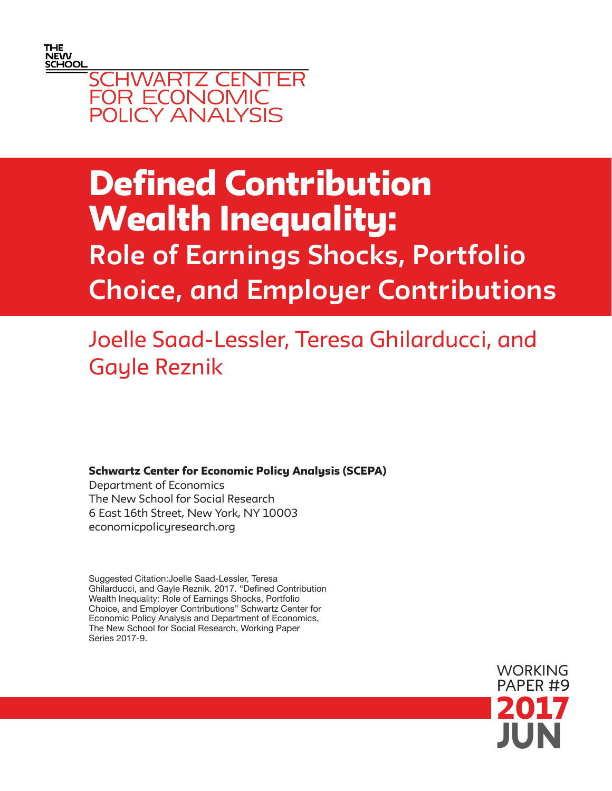



# Defined Contribution Wealth Inequality: Role of Earnings Shocks, Portfolio Choice, and Employer Contributions

# Joelle Saad-Lessler, Teresa Ghilarducci, and Gayle Reznik

Schwartz Center for Economic Policy Analysis (SCEPA)

Department of Economics The New School for Social Research 6 East 16th Street, New York, NY 10003 economicpolicyresearch.org

Suggested Citation:Joelle Saad-Lessler, Teresa Ghilarducci, and Gayle Reznik. 2017. "Defined Contribution Wealth Inequality: Role of Earnings Shocks, Portfolio Choice, and Employer Contributions" Schwartz Center for Economic Policy Analysis and Department of Economics, The New School for Social Research, Working Paper Series 2017-9.

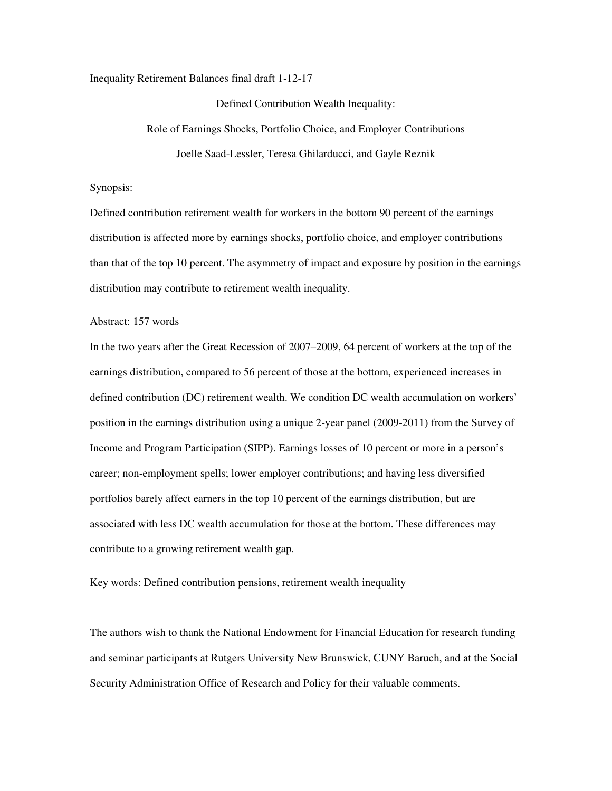Inequality Retirement Balances final draft 1-12-17

Defined Contribution Wealth Inequality: Role of Earnings Shocks, Portfolio Choice, and Employer Contributions Joelle Saad-Lessler, Teresa Ghilarducci, and Gayle Reznik

# Synopsis:

Defined contribution retirement wealth for workers in the bottom 90 percent of the earnings distribution is affected more by earnings shocks, portfolio choice, and employer contributions than that of the top 10 percent. The asymmetry of impact and exposure by position in the earnings distribution may contribute to retirement wealth inequality.

## Abstract: 157 words

In the two years after the Great Recession of 2007–2009, 64 percent of workers at the top of the earnings distribution, compared to 56 percent of those at the bottom, experienced increases in defined contribution (DC) retirement wealth. We condition DC wealth accumulation on workers' position in the earnings distribution using a unique 2-year panel (2009-2011) from the Survey of Income and Program Participation (SIPP). Earnings losses of 10 percent or more in a person's career; non-employment spells; lower employer contributions; and having less diversified portfolios barely affect earners in the top 10 percent of the earnings distribution, but are associated with less DC wealth accumulation for those at the bottom. These differences may contribute to a growing retirement wealth gap.

Key words: Defined contribution pensions, retirement wealth inequality

The authors wish to thank the National Endowment for Financial Education for research funding and seminar participants at Rutgers University New Brunswick, CUNY Baruch, and at the Social Security Administration Office of Research and Policy for their valuable comments.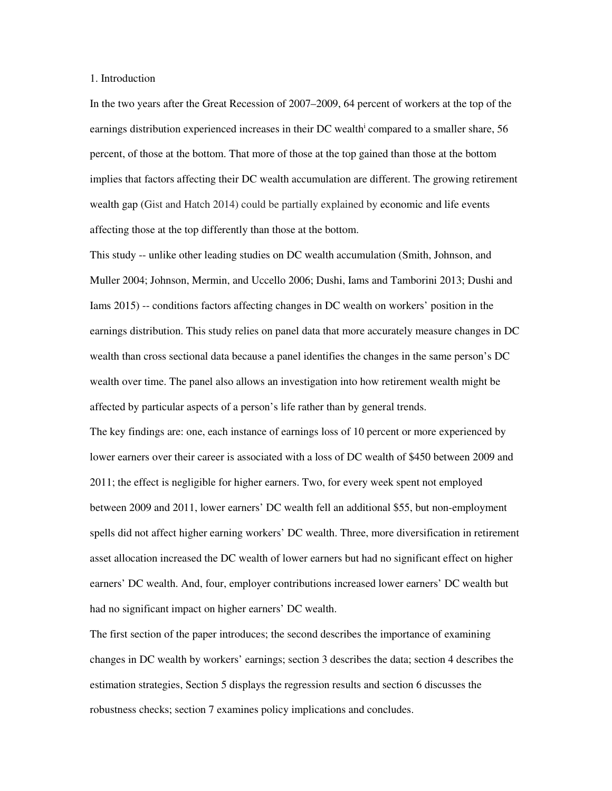# 1. Introduction

In the two years after the Great Recession of 2007–2009, 64 percent of workers at the top of the earnings distribution experienced increases in their DC wealth<sup>i</sup> compared to a smaller share, 56 percent, of those at the bottom. That more of those at the top gained than those at the bottom implies that factors affecting their DC wealth accumulation are different. The growing retirement wealth gap (Gist and Hatch 2014) could be partially explained by economic and life events affecting those at the top differently than those at the bottom.

This study -- unlike other leading studies on DC wealth accumulation (Smith, Johnson, and Muller 2004; Johnson, Mermin, and Uccello 2006; Dushi, Iams and Tamborini 2013; Dushi and Iams 2015) -- conditions factors affecting changes in DC wealth on workers' position in the earnings distribution. This study relies on panel data that more accurately measure changes in DC wealth than cross sectional data because a panel identifies the changes in the same person's DC wealth over time. The panel also allows an investigation into how retirement wealth might be affected by particular aspects of a person's life rather than by general trends. The key findings are: one, each instance of earnings loss of 10 percent or more experienced by lower earners over their career is associated with a loss of DC wealth of \$450 between 2009 and 2011; the effect is negligible for higher earners. Two, for every week spent not employed between 2009 and 2011, lower earners' DC wealth fell an additional \$55, but non-employment spells did not affect higher earning workers' DC wealth. Three, more diversification in retirement asset allocation increased the DC wealth of lower earners but had no significant effect on higher earners' DC wealth. And, four, employer contributions increased lower earners' DC wealth but

had no significant impact on higher earners' DC wealth.

The first section of the paper introduces; the second describes the importance of examining changes in DC wealth by workers' earnings; section 3 describes the data; section 4 describes the estimation strategies, Section 5 displays the regression results and section 6 discusses the robustness checks; section 7 examines policy implications and concludes.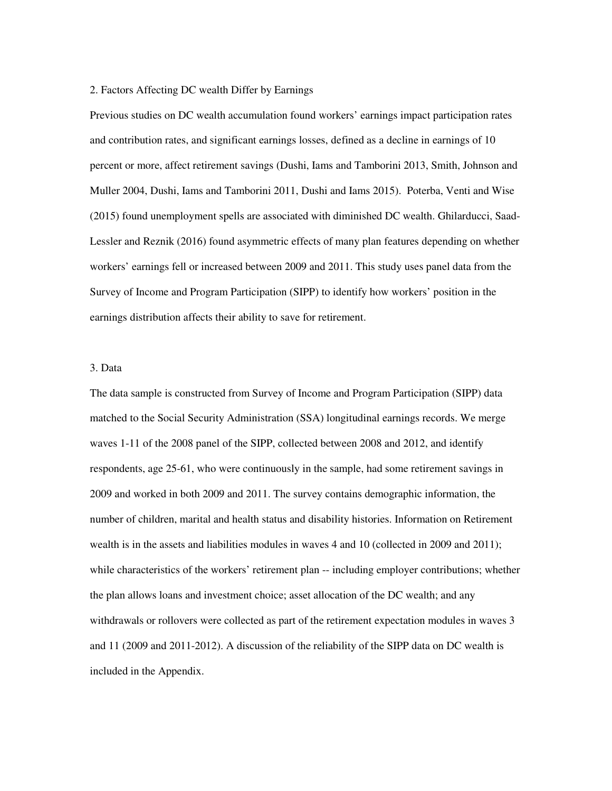## 2. Factors Affecting DC wealth Differ by Earnings

Previous studies on DC wealth accumulation found workers' earnings impact participation rates and contribution rates, and significant earnings losses, defined as a decline in earnings of 10 percent or more, affect retirement savings (Dushi, Iams and Tamborini 2013, Smith, Johnson and Muller 2004, Dushi, Iams and Tamborini 2011, Dushi and Iams 2015). Poterba, Venti and Wise (2015) found unemployment spells are associated with diminished DC wealth. Ghilarducci, Saad-Lessler and Reznik (2016) found asymmetric effects of many plan features depending on whether workers' earnings fell or increased between 2009 and 2011. This study uses panel data from the Survey of Income and Program Participation (SIPP) to identify how workers' position in the earnings distribution affects their ability to save for retirement.

# 3. Data

The data sample is constructed from Survey of Income and Program Participation (SIPP) data matched to the Social Security Administration (SSA) longitudinal earnings records. We merge waves 1-11 of the 2008 panel of the SIPP, collected between 2008 and 2012, and identify respondents, age 25-61, who were continuously in the sample, had some retirement savings in 2009 and worked in both 2009 and 2011. The survey contains demographic information, the number of children, marital and health status and disability histories. Information on Retirement wealth is in the assets and liabilities modules in waves 4 and 10 (collected in 2009 and 2011); while characteristics of the workers' retirement plan -- including employer contributions; whether the plan allows loans and investment choice; asset allocation of the DC wealth; and any withdrawals or rollovers were collected as part of the retirement expectation modules in waves 3 and 11 (2009 and 2011-2012). A discussion of the reliability of the SIPP data on DC wealth is included in the Appendix.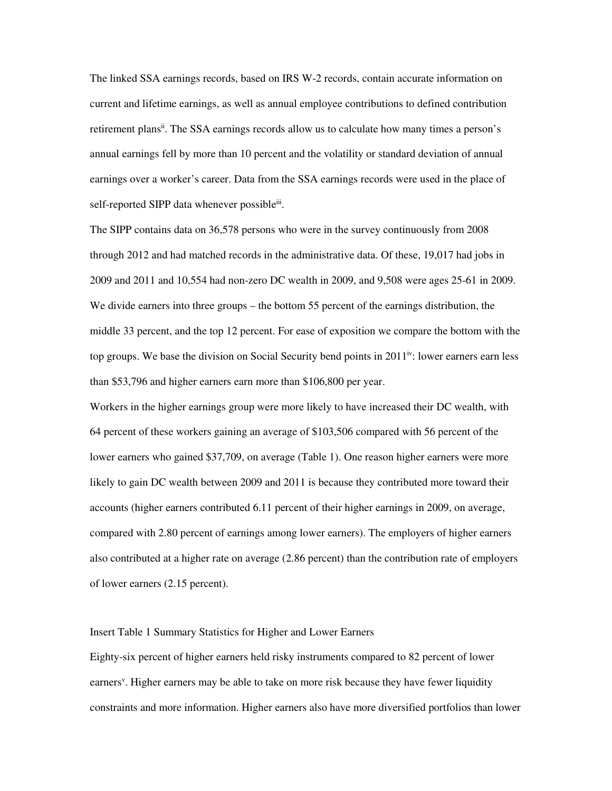The linked SSA earnings records, based on IRS W-2 records, contain accurate information on current and lifetime earnings, as well as annual employee contributions to defined contribution retirement plans<sup>ii</sup>. The SSA earnings records allow us to calculate how many times a person's annual earnings fell by more than 10 percent and the volatility or standard deviation of annual earnings over a worker's career. Data from the SSA earnings records were used in the place of self-reported SIPP data whenever possibleii.

The SIPP contains data on 36,578 persons who were in the survey continuously from 2008 through 2012 and had matched records in the administrative data. Of these, 19,017 had jobs in 2009 and 2011 and 10,554 had non-zero DC wealth in 2009, and 9,508 were ages 25-61 in 2009. We divide earners into three groups – the bottom 55 percent of the earnings distribution, the middle 33 percent, and the top 12 percent. For ease of exposition we compare the bottom with the top groups. We base the division on Social Security bend points in  $2011^{iv}$ : lower earners earn less than \$53,796 and higher earners earn more than \$106,800 per year.

Workers in the higher earnings group were more likely to have increased their DC wealth, with 64 percent of these workers gaining an average of \$103,506 compared with 56 percent of the lower earners who gained \$37,709, on average (Table 1). One reason higher earners were more likely to gain DC wealth between 2009 and 2011 is because they contributed more toward their accounts (higher earners contributed 6.11 percent of their higher earnings in 2009, on average, compared with 2.80 percent of earnings among lower earners). The employers of higher earners also contributed at a higher rate on average (2.86 percent) than the contribution rate of employers of lower earners (2.15 percent).

# Insert Table 1 Summary Statistics for Higher and Lower Earners

Eighty-six percent of higher earners held risky instruments compared to 82 percent of lower earners<sup>v</sup>. Higher earners may be able to take on more risk because they have fewer liquidity constraints and more information. Higher earners also have more diversified portfolios than lower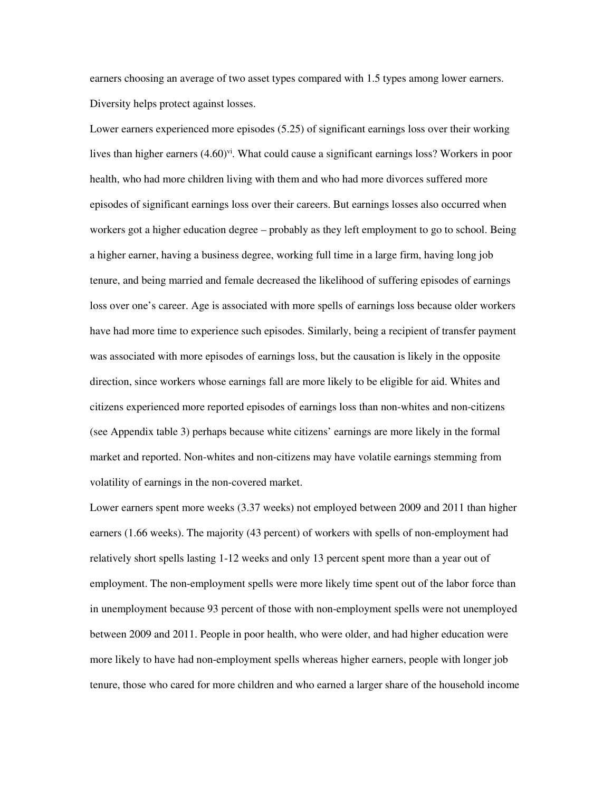earners choosing an average of two asset types compared with 1.5 types among lower earners. Diversity helps protect against losses.

Lower earners experienced more episodes (5.25) of significant earnings loss over their working lives than higher earners  $(4.60)$ <sup>vi</sup>. What could cause a significant earnings loss? Workers in poor health, who had more children living with them and who had more divorces suffered more episodes of significant earnings loss over their careers. But earnings losses also occurred when workers got a higher education degree – probably as they left employment to go to school. Being a higher earner, having a business degree, working full time in a large firm, having long job tenure, and being married and female decreased the likelihood of suffering episodes of earnings loss over one's career. Age is associated with more spells of earnings loss because older workers have had more time to experience such episodes. Similarly, being a recipient of transfer payment was associated with more episodes of earnings loss, but the causation is likely in the opposite direction, since workers whose earnings fall are more likely to be eligible for aid. Whites and citizens experienced more reported episodes of earnings loss than non-whites and non-citizens (see Appendix table 3) perhaps because white citizens' earnings are more likely in the formal market and reported. Non-whites and non-citizens may have volatile earnings stemming from volatility of earnings in the non-covered market.

Lower earners spent more weeks (3.37 weeks) not employed between 2009 and 2011 than higher earners (1.66 weeks). The majority (43 percent) of workers with spells of non-employment had relatively short spells lasting 1-12 weeks and only 13 percent spent more than a year out of employment. The non-employment spells were more likely time spent out of the labor force than in unemployment because 93 percent of those with non-employment spells were not unemployed between 2009 and 2011. People in poor health, who were older, and had higher education were more likely to have had non-employment spells whereas higher earners, people with longer job tenure, those who cared for more children and who earned a larger share of the household income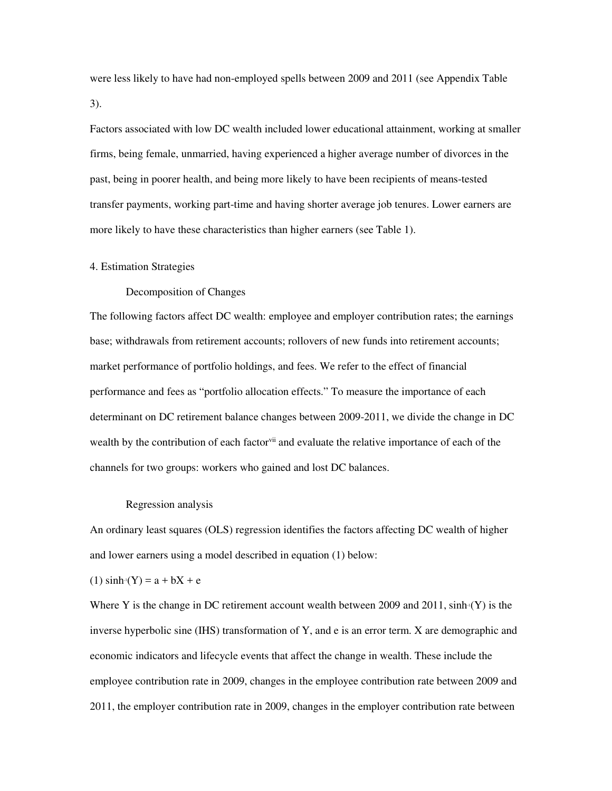were less likely to have had non-employed spells between 2009 and 2011 (see Appendix Table 3).

Factors associated with low DC wealth included lower educational attainment, working at smaller firms, being female, unmarried, having experienced a higher average number of divorces in the past, being in poorer health, and being more likely to have been recipients of means-tested transfer payments, working part-time and having shorter average job tenures. Lower earners are more likely to have these characteristics than higher earners (see Table 1).

## 4. Estimation Strategies

Decomposition of Changes

The following factors affect DC wealth: employee and employer contribution rates; the earnings base; withdrawals from retirement accounts; rollovers of new funds into retirement accounts; market performance of portfolio holdings, and fees. We refer to the effect of financial performance and fees as "portfolio allocation effects." To measure the importance of each determinant on DC retirement balance changes between 2009-2011, we divide the change in DC wealth by the contribution of each factor<sup>vii</sup> and evaluate the relative importance of each of the channels for two groups: workers who gained and lost DC balances.

#### Regression analysis

An ordinary least squares (OLS) regression identifies the factors affecting DC wealth of higher and lower earners using a model described in equation (1) below:

### $(1)$  sinh<sup>-1</sup>(Y) = a + bX + e

Where Y is the change in DC retirement account wealth between 2009 and 2011,  $\sinh(Y)$  is the inverse hyperbolic sine (IHS) transformation of Y, and e is an error term. X are demographic and economic indicators and lifecycle events that affect the change in wealth. These include the employee contribution rate in 2009, changes in the employee contribution rate between 2009 and 2011, the employer contribution rate in 2009, changes in the employer contribution rate between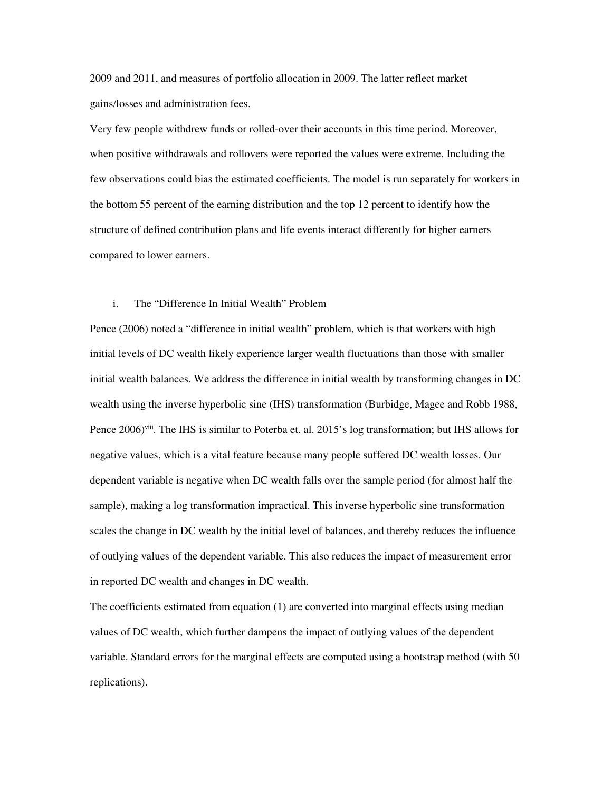2009 and 2011, and measures of portfolio allocation in 2009. The latter reflect market gains/losses and administration fees.

Very few people withdrew funds or rolled-over their accounts in this time period. Moreover, when positive withdrawals and rollovers were reported the values were extreme. Including the few observations could bias the estimated coefficients. The model is run separately for workers in the bottom 55 percent of the earning distribution and the top 12 percent to identify how the structure of defined contribution plans and life events interact differently for higher earners compared to lower earners.

# i. The "Difference In Initial Wealth" Problem

Pence (2006) noted a "difference in initial wealth" problem, which is that workers with high initial levels of DC wealth likely experience larger wealth fluctuations than those with smaller initial wealth balances. We address the difference in initial wealth by transforming changes in DC wealth using the inverse hyperbolic sine (IHS) transformation (Burbidge, Magee and Robb 1988, Pence 2006)<sup>viii</sup>. The IHS is similar to Poterba et. al. 2015's log transformation; but IHS allows for negative values, which is a vital feature because many people suffered DC wealth losses. Our dependent variable is negative when DC wealth falls over the sample period (for almost half the sample), making a log transformation impractical. This inverse hyperbolic sine transformation scales the change in DC wealth by the initial level of balances, and thereby reduces the influence of outlying values of the dependent variable. This also reduces the impact of measurement error in reported DC wealth and changes in DC wealth.

The coefficients estimated from equation (1) are converted into marginal effects using median values of DC wealth, which further dampens the impact of outlying values of the dependent variable. Standard errors for the marginal effects are computed using a bootstrap method (with 50 replications).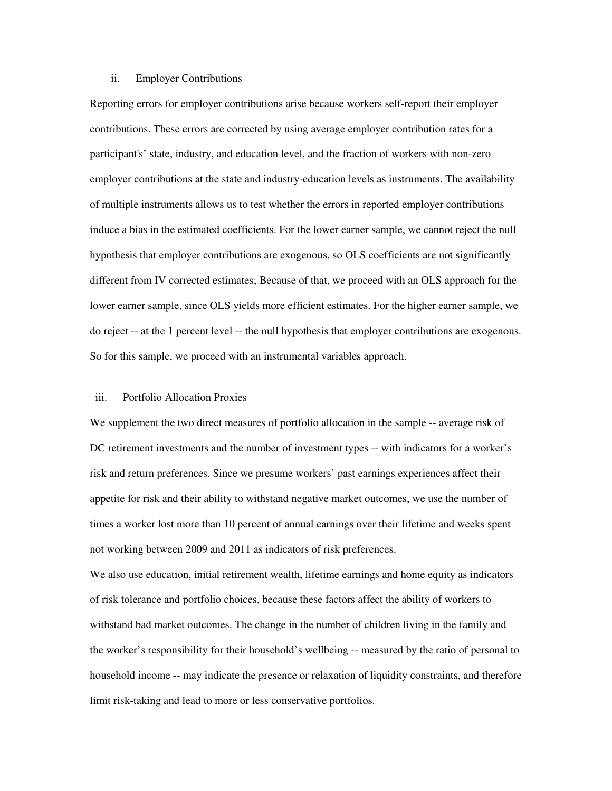# ii. Employer Contributions

Reporting errors for employer contributions arise because workers self-report their employer contributions. These errors are corrected by using average employer contribution rates for a participant's' state, industry, and education level, and the fraction of workers with non-zero employer contributions at the state and industry-education levels as instruments. The availability of multiple instruments allows us to test whether the errors in reported employer contributions induce a bias in the estimated coefficients. For the lower earner sample, we cannot reject the null hypothesis that employer contributions are exogenous, so OLS coefficients are not significantly different from IV corrected estimates; Because of that, we proceed with an OLS approach for the lower earner sample, since OLS yields more efficient estimates. For the higher earner sample, we do reject -- at the 1 percent level -- the null hypothesis that employer contributions are exogenous. So for this sample, we proceed with an instrumental variables approach.

# iii. Portfolio Allocation Proxies

We supplement the two direct measures of portfolio allocation in the sample -- average risk of DC retirement investments and the number of investment types -- with indicators for a worker's risk and return preferences. Since we presume workers' past earnings experiences affect their appetite for risk and their ability to withstand negative market outcomes, we use the number of times a worker lost more than 10 percent of annual earnings over their lifetime and weeks spent not working between 2009 and 2011 as indicators of risk preferences.

We also use education, initial retirement wealth, lifetime earnings and home equity as indicators of risk tolerance and portfolio choices, because these factors affect the ability of workers to withstand bad market outcomes. The change in the number of children living in the family and the worker's responsibility for their household's wellbeing -- measured by the ratio of personal to household income -- may indicate the presence or relaxation of liquidity constraints, and therefore limit risk-taking and lead to more or less conservative portfolios.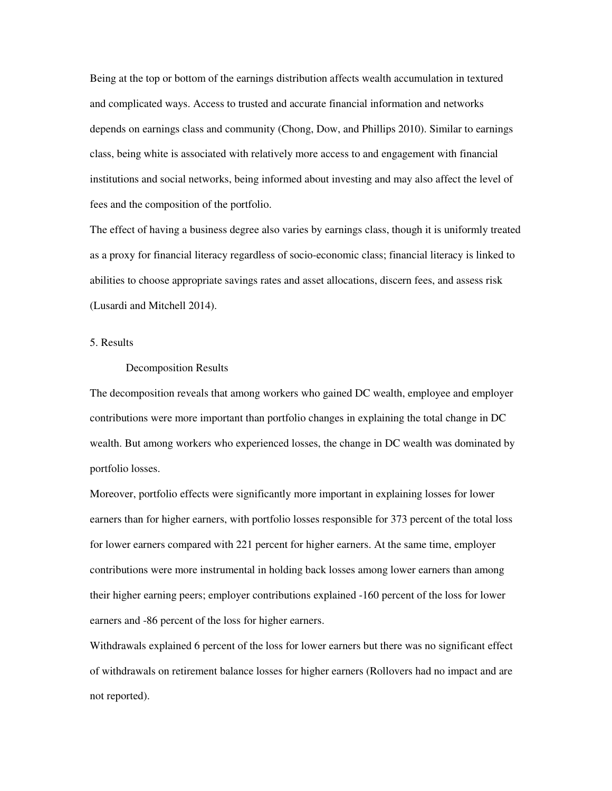Being at the top or bottom of the earnings distribution affects wealth accumulation in textured and complicated ways. Access to trusted and accurate financial information and networks depends on earnings class and community (Chong, Dow, and Phillips 2010). Similar to earnings class, being white is associated with relatively more access to and engagement with financial institutions and social networks, being informed about investing and may also affect the level of fees and the composition of the portfolio.

The effect of having a business degree also varies by earnings class, though it is uniformly treated as a proxy for financial literacy regardless of socio-economic class; financial literacy is linked to abilities to choose appropriate savings rates and asset allocations, discern fees, and assess risk (Lusardi and Mitchell 2014).

# 5. Results

# Decomposition Results

The decomposition reveals that among workers who gained DC wealth, employee and employer contributions were more important than portfolio changes in explaining the total change in DC wealth. But among workers who experienced losses, the change in DC wealth was dominated by portfolio losses.

Moreover, portfolio effects were significantly more important in explaining losses for lower earners than for higher earners, with portfolio losses responsible for 373 percent of the total loss for lower earners compared with 221 percent for higher earners. At the same time, employer contributions were more instrumental in holding back losses among lower earners than among their higher earning peers; employer contributions explained -160 percent of the loss for lower earners and -86 percent of the loss for higher earners.

Withdrawals explained 6 percent of the loss for lower earners but there was no significant effect of withdrawals on retirement balance losses for higher earners (Rollovers had no impact and are not reported).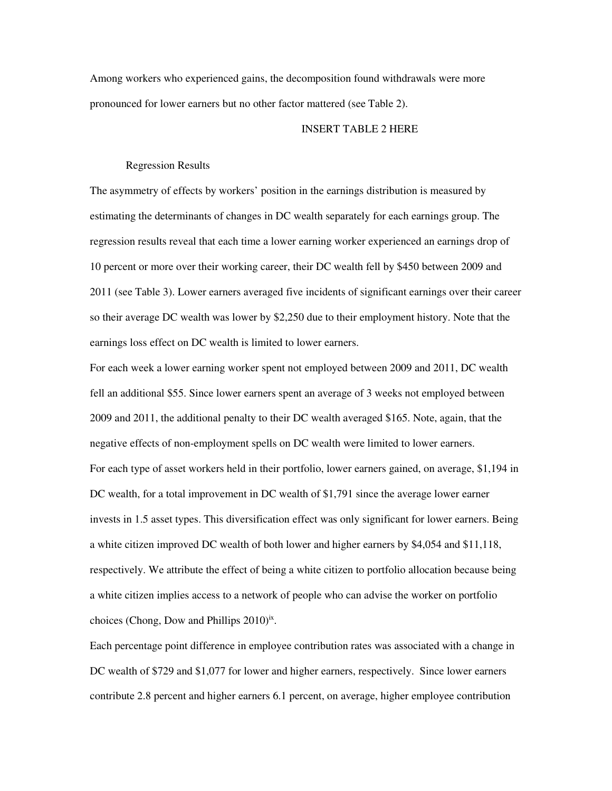Among workers who experienced gains, the decomposition found withdrawals were more pronounced for lower earners but no other factor mattered (see Table 2).

# INSERT TABLE 2 HERE

# Regression Results

The asymmetry of effects by workers' position in the earnings distribution is measured by estimating the determinants of changes in DC wealth separately for each earnings group. The regression results reveal that each time a lower earning worker experienced an earnings drop of 10 percent or more over their working career, their DC wealth fell by \$450 between 2009 and 2011 (see Table 3). Lower earners averaged five incidents of significant earnings over their career so their average DC wealth was lower by \$2,250 due to their employment history. Note that the earnings loss effect on DC wealth is limited to lower earners.

For each week a lower earning worker spent not employed between 2009 and 2011, DC wealth fell an additional \$55. Since lower earners spent an average of 3 weeks not employed between 2009 and 2011, the additional penalty to their DC wealth averaged \$165. Note, again, that the negative effects of non-employment spells on DC wealth were limited to lower earners. For each type of asset workers held in their portfolio, lower earners gained, on average, \$1,194 in DC wealth, for a total improvement in DC wealth of \$1,791 since the average lower earner invests in 1.5 asset types. This diversification effect was only significant for lower earners. Being a white citizen improved DC wealth of both lower and higher earners by \$4,054 and \$11,118, respectively. We attribute the effect of being a white citizen to portfolio allocation because being a white citizen implies access to a network of people who can advise the worker on portfolio choices (Chong, Dow and Phillips  $2010)$ <sup>ix</sup>.

Each percentage point difference in employee contribution rates was associated with a change in DC wealth of \$729 and \$1,077 for lower and higher earners, respectively. Since lower earners contribute 2.8 percent and higher earners 6.1 percent, on average, higher employee contribution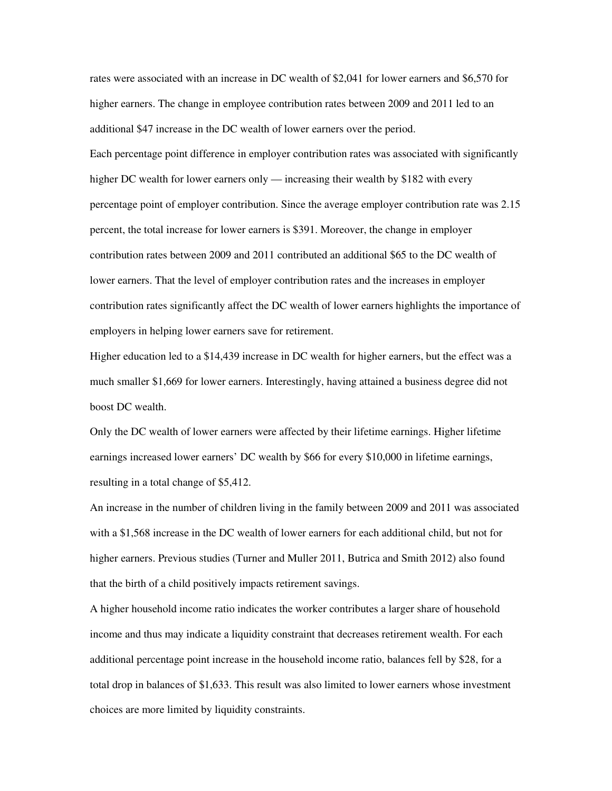rates were associated with an increase in DC wealth of \$2,041 for lower earners and \$6,570 for higher earners. The change in employee contribution rates between 2009 and 2011 led to an additional \$47 increase in the DC wealth of lower earners over the period. Each percentage point difference in employer contribution rates was associated with significantly higher DC wealth for lower earners only — increasing their wealth by \$182 with every percentage point of employer contribution. Since the average employer contribution rate was 2.15 percent, the total increase for lower earners is \$391. Moreover, the change in employer contribution rates between 2009 and 2011 contributed an additional \$65 to the DC wealth of lower earners. That the level of employer contribution rates and the increases in employer contribution rates significantly affect the DC wealth of lower earners highlights the importance of employers in helping lower earners save for retirement.

Higher education led to a \$14,439 increase in DC wealth for higher earners, but the effect was a much smaller \$1,669 for lower earners. Interestingly, having attained a business degree did not boost DC wealth.

Only the DC wealth of lower earners were affected by their lifetime earnings. Higher lifetime earnings increased lower earners' DC wealth by \$66 for every \$10,000 in lifetime earnings, resulting in a total change of \$5,412.

An increase in the number of children living in the family between 2009 and 2011 was associated with a \$1,568 increase in the DC wealth of lower earners for each additional child, but not for higher earners. Previous studies (Turner and Muller 2011, Butrica and Smith 2012) also found that the birth of a child positively impacts retirement savings.

A higher household income ratio indicates the worker contributes a larger share of household income and thus may indicate a liquidity constraint that decreases retirement wealth. For each additional percentage point increase in the household income ratio, balances fell by \$28, for a total drop in balances of \$1,633. This result was also limited to lower earners whose investment choices are more limited by liquidity constraints.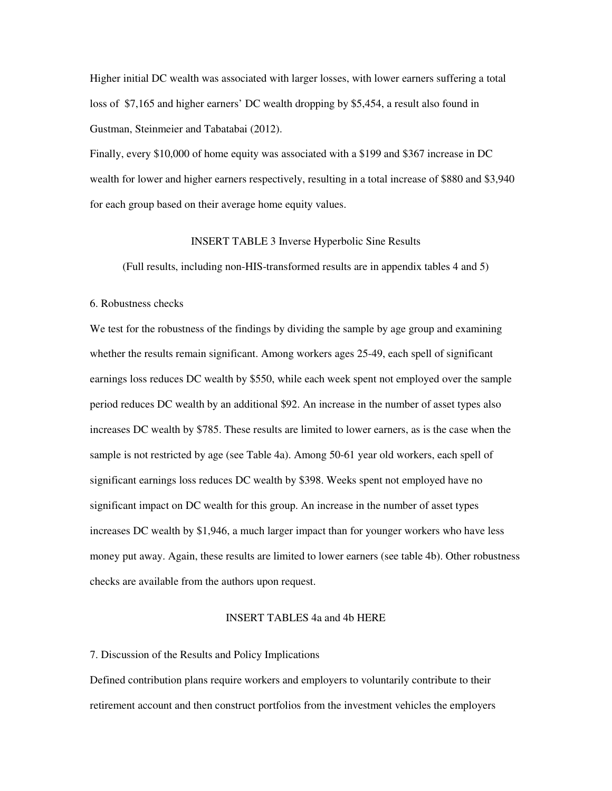Higher initial DC wealth was associated with larger losses, with lower earners suffering a total loss of \$7,165 and higher earners' DC wealth dropping by \$5,454, a result also found in Gustman, Steinmeier and Tabatabai (2012).

Finally, every \$10,000 of home equity was associated with a \$199 and \$367 increase in DC wealth for lower and higher earners respectively, resulting in a total increase of \$880 and \$3,940 for each group based on their average home equity values.

# INSERT TABLE 3 Inverse Hyperbolic Sine Results

(Full results, including non-HIS-transformed results are in appendix tables 4 and 5)

## 6. Robustness checks

We test for the robustness of the findings by dividing the sample by age group and examining whether the results remain significant. Among workers ages 25-49, each spell of significant earnings loss reduces DC wealth by \$550, while each week spent not employed over the sample period reduces DC wealth by an additional \$92. An increase in the number of asset types also increases DC wealth by \$785. These results are limited to lower earners, as is the case when the sample is not restricted by age (see Table 4a). Among 50-61 year old workers, each spell of significant earnings loss reduces DC wealth by \$398. Weeks spent not employed have no significant impact on DC wealth for this group. An increase in the number of asset types increases DC wealth by \$1,946, a much larger impact than for younger workers who have less money put away. Again, these results are limited to lower earners (see table 4b). Other robustness checks are available from the authors upon request.

# INSERT TABLES 4a and 4b HERE

## 7. Discussion of the Results and Policy Implications

Defined contribution plans require workers and employers to voluntarily contribute to their retirement account and then construct portfolios from the investment vehicles the employers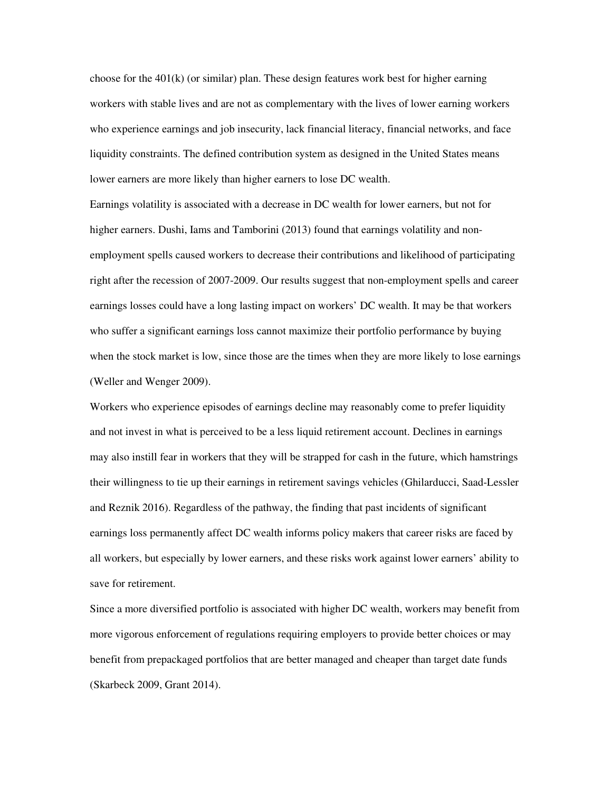choose for the  $401(k)$  (or similar) plan. These design features work best for higher earning workers with stable lives and are not as complementary with the lives of lower earning workers who experience earnings and job insecurity, lack financial literacy, financial networks, and face liquidity constraints. The defined contribution system as designed in the United States means lower earners are more likely than higher earners to lose DC wealth.

Earnings volatility is associated with a decrease in DC wealth for lower earners, but not for higher earners. Dushi, Iams and Tamborini (2013) found that earnings volatility and nonemployment spells caused workers to decrease their contributions and likelihood of participating right after the recession of 2007-2009. Our results suggest that non-employment spells and career earnings losses could have a long lasting impact on workers' DC wealth. It may be that workers who suffer a significant earnings loss cannot maximize their portfolio performance by buying when the stock market is low, since those are the times when they are more likely to lose earnings (Weller and Wenger 2009).

Workers who experience episodes of earnings decline may reasonably come to prefer liquidity and not invest in what is perceived to be a less liquid retirement account. Declines in earnings may also instill fear in workers that they will be strapped for cash in the future, which hamstrings their willingness to tie up their earnings in retirement savings vehicles (Ghilarducci, Saad-Lessler and Reznik 2016). Regardless of the pathway, the finding that past incidents of significant earnings loss permanently affect DC wealth informs policy makers that career risks are faced by all workers, but especially by lower earners, and these risks work against lower earners' ability to save for retirement.

Since a more diversified portfolio is associated with higher DC wealth, workers may benefit from more vigorous enforcement of regulations requiring employers to provide better choices or may benefit from prepackaged portfolios that are better managed and cheaper than target date funds (Skarbeck 2009, Grant 2014).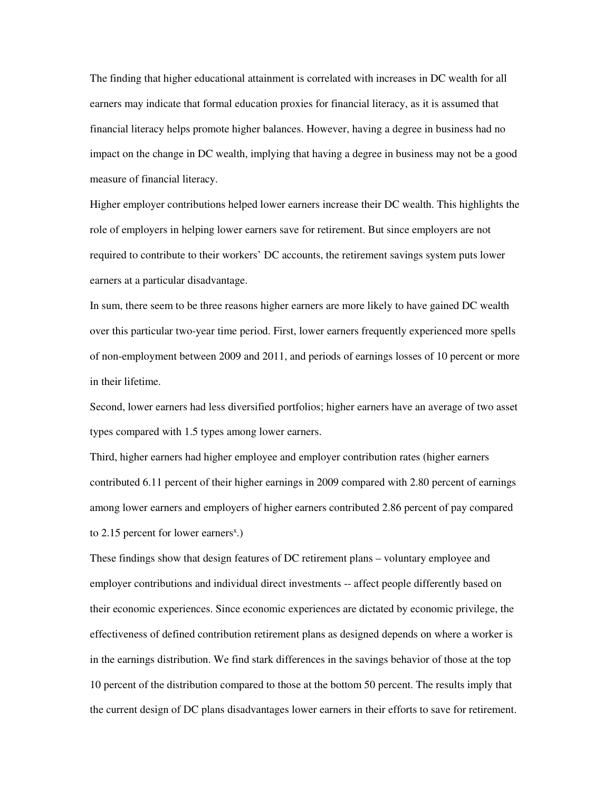The finding that higher educational attainment is correlated with increases in DC wealth for all earners may indicate that formal education proxies for financial literacy, as it is assumed that financial literacy helps promote higher balances. However, having a degree in business had no impact on the change in DC wealth, implying that having a degree in business may not be a good measure of financial literacy.

Higher employer contributions helped lower earners increase their DC wealth. This highlights the role of employers in helping lower earners save for retirement. But since employers are not required to contribute to their workers' DC accounts, the retirement savings system puts lower earners at a particular disadvantage.

In sum, there seem to be three reasons higher earners are more likely to have gained DC wealth over this particular two-year time period. First, lower earners frequently experienced more spells of non-employment between 2009 and 2011, and periods of earnings losses of 10 percent or more in their lifetime.

Second, lower earners had less diversified portfolios; higher earners have an average of two asset types compared with 1.5 types among lower earners.

Third, higher earners had higher employee and employer contribution rates (higher earners contributed 6.11 percent of their higher earnings in 2009 compared with 2.80 percent of earnings among lower earners and employers of higher earners contributed 2.86 percent of pay compared to  $2.15$  percent for lower earners<sup>x</sup>.)

These findings show that design features of DC retirement plans – voluntary employee and employer contributions and individual direct investments -- affect people differently based on their economic experiences. Since economic experiences are dictated by economic privilege, the effectiveness of defined contribution retirement plans as designed depends on where a worker is in the earnings distribution. We find stark differences in the savings behavior of those at the top 10 percent of the distribution compared to those at the bottom 50 percent. The results imply that the current design of DC plans disadvantages lower earners in their efforts to save for retirement.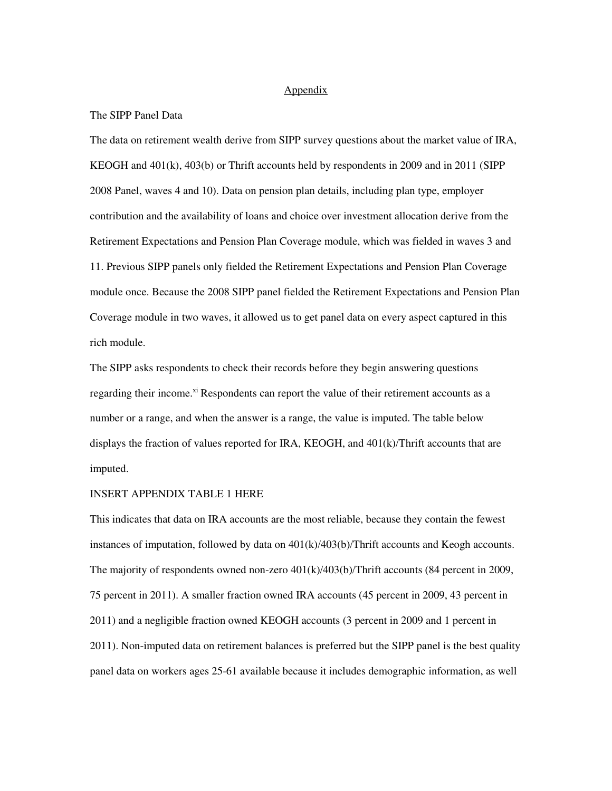# Appendix

# The SIPP Panel Data

The data on retirement wealth derive from SIPP survey questions about the market value of IRA, KEOGH and 401(k), 403(b) or Thrift accounts held by respondents in 2009 and in 2011 (SIPP 2008 Panel, waves 4 and 10). Data on pension plan details, including plan type, employer contribution and the availability of loans and choice over investment allocation derive from the Retirement Expectations and Pension Plan Coverage module, which was fielded in waves 3 and 11. Previous SIPP panels only fielded the Retirement Expectations and Pension Plan Coverage module once. Because the 2008 SIPP panel fielded the Retirement Expectations and Pension Plan Coverage module in two waves, it allowed us to get panel data on every aspect captured in this rich module.

The SIPP asks respondents to check their records before they begin answering questions regarding their income.<sup>xi</sup> Respondents can report the value of their retirement accounts as a number or a range, and when the answer is a range, the value is imputed. The table below displays the fraction of values reported for IRA, KEOGH, and  $401(k)/\text{Thrift}$  accounts that are imputed.

# INSERT APPENDIX TABLE 1 HERE

This indicates that data on IRA accounts are the most reliable, because they contain the fewest instances of imputation, followed by data on 401(k)/403(b)/Thrift accounts and Keogh accounts. The majority of respondents owned non-zero 401(k)/403(b)/Thrift accounts (84 percent in 2009, 75 percent in 2011). A smaller fraction owned IRA accounts (45 percent in 2009, 43 percent in 2011) and a negligible fraction owned KEOGH accounts (3 percent in 2009 and 1 percent in 2011). Non-imputed data on retirement balances is preferred but the SIPP panel is the best quality panel data on workers ages 25-61 available because it includes demographic information, as well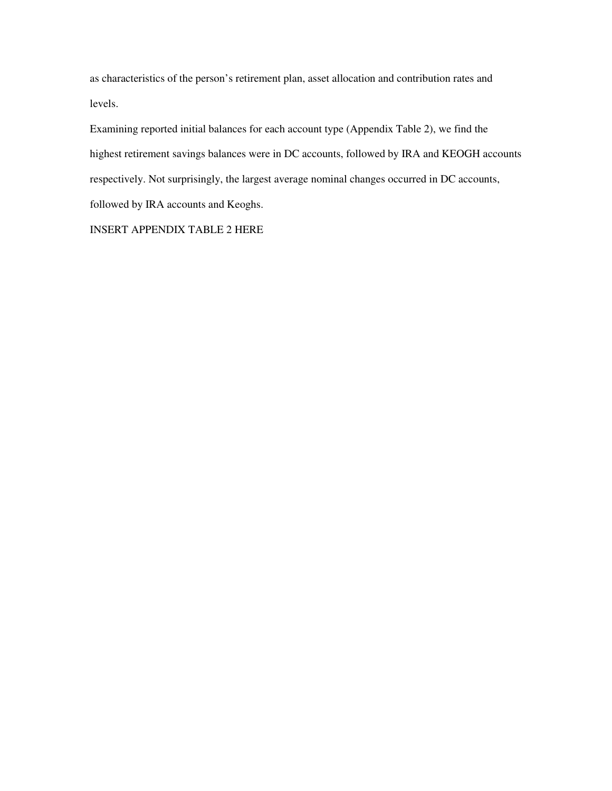as characteristics of the person's retirement plan, asset allocation and contribution rates and levels.

Examining reported initial balances for each account type (Appendix Table 2), we find the highest retirement savings balances were in DC accounts, followed by IRA and KEOGH accounts respectively. Not surprisingly, the largest average nominal changes occurred in DC accounts, followed by IRA accounts and Keoghs.

INSERT APPENDIX TABLE 2 HERE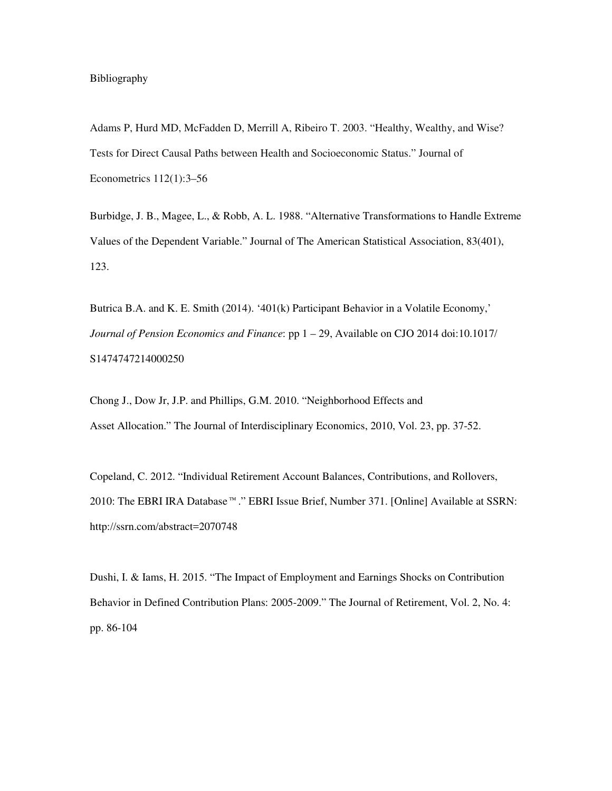Bibliography

Adams P, Hurd MD, McFadden D, Merrill A, Ribeiro T. 2003. "Healthy, Wealthy, and Wise? Tests for Direct Causal Paths between Health and Socioeconomic Status." Journal of Econometrics 112(1):3–56

Burbidge, J. B., Magee, L., & Robb, A. L. 1988. "Alternative Transformations to Handle Extreme Values of the Dependent Variable." Journal of The American Statistical Association, 83(401), 123.

Butrica B.A. and K. E. Smith (2014). '401(k) Participant Behavior in a Volatile Economy,' *Journal of Pension Economics and Finance*: pp  $1 - 29$ , Available on CJO 2014 doi:10.1017/ S1474747214000250

Chong J., Dow Jr, J.P. and Phillips, G.M. 2010. "Neighborhood Effects and Asset Allocation." The Journal of Interdisciplinary Economics, 2010, Vol. 23, pp. 37-52.

Copeland, C. 2012. "Individual Retirement Account Balances, Contributions, and Rollovers, 2010: The EBRI IRA Database™." EBRI Issue Brief, Number 371. [Online] Available at SSRN: http://ssrn.com/abstract=2070748

Dushi, I. & Iams, H. 2015. "The Impact of Employment and Earnings Shocks on Contribution Behavior in Defined Contribution Plans: 2005-2009." The Journal of Retirement, Vol. 2, No. 4: pp. 86-104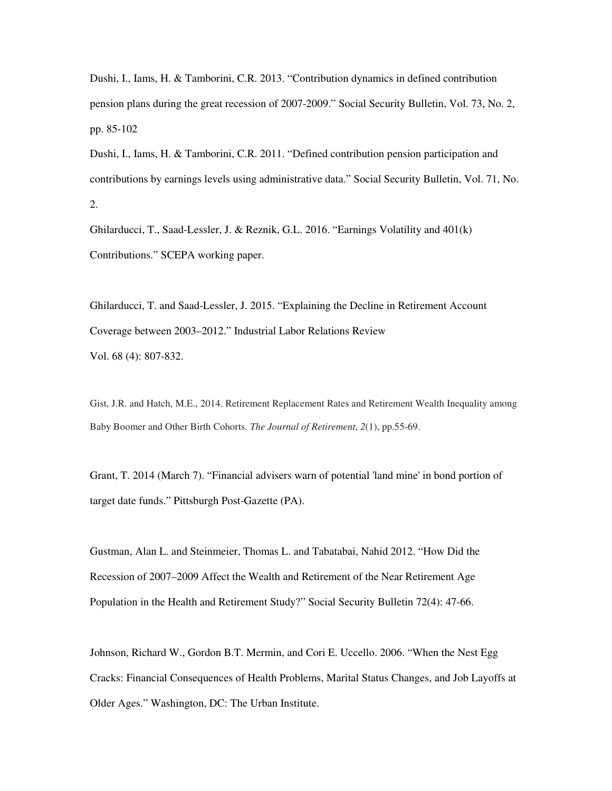Dushi, I., Iams, H. & Tamborini, C.R. 2013. "Contribution dynamics in defined contribution pension plans during the great recession of 2007-2009." Social Security Bulletin, Vol. 73, No. 2, pp. 85-102

Dushi, I., Iams, H. & Tamborini, C.R. 2011. "Defined contribution pension participation and contributions by earnings levels using administrative data." Social Security Bulletin, Vol. 71, No. 2.

Ghilarducci, T., Saad-Lessler, J. & Reznik, G.L. 2016. "Earnings Volatility and 401(k) Contributions." SCEPA working paper.

Ghilarducci, T. and Saad-Lessler, J. 2015. "Explaining the Decline in Retirement Account Coverage between 2003–2012." Industrial Labor Relations Review Vol. 68 (4): 807-832.

Gist, J.R. and Hatch, M.E., 2014. Retirement Replacement Rates and Retirement Wealth Inequality among Baby Boomer and Other Birth Cohorts. *The Journal of Retirement*, *2*(1), pp.55-69.

Grant, T. 2014 (March 7). "Financial advisers warn of potential 'land mine' in bond portion of target date funds." Pittsburgh Post-Gazette (PA).

Gustman, Alan L. and Steinmeier, Thomas L. and Tabatabai, Nahid 2012. "How Did the Recession of 2007–2009 Affect the Wealth and Retirement of the Near Retirement Age Population in the Health and Retirement Study?" Social Security Bulletin 72(4): 47-66.

Johnson, Richard W., Gordon B.T. Mermin, and Cori E. Uccello. 2006. "When the Nest Egg Cracks: Financial Consequences of Health Problems, Marital Status Changes, and Job Layoffs at Older Ages." Washington, DC: The Urban Institute.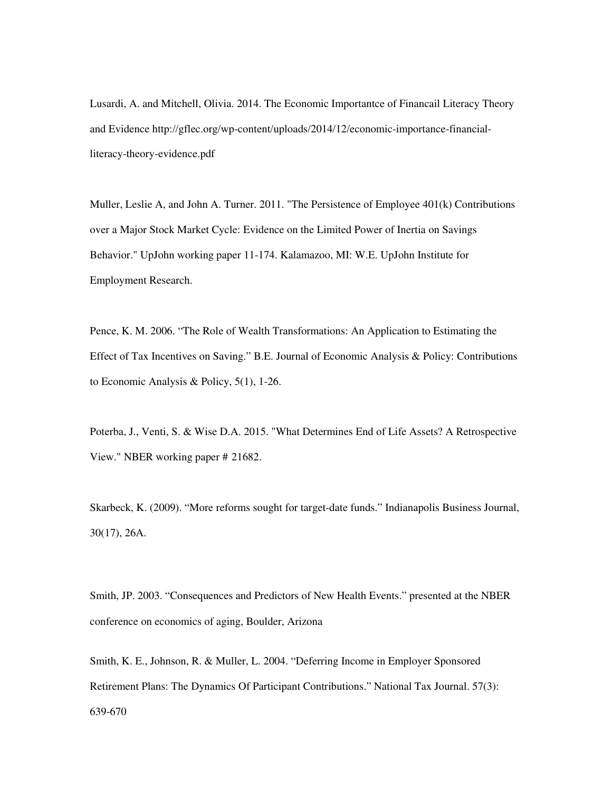Lusardi, A. and Mitchell, Olivia. 2014. The Economic Importantce of Financail Literacy Theory and Evidence http://gflec.org/wp-content/uploads/2014/12/economic-importance-financialliteracy-theory-evidence.pdf

Muller, Leslie A, and John A. Turner. 2011. "The Persistence of Employee 401(k) Contributions over a Major Stock Market Cycle: Evidence on the Limited Power of Inertia on Savings Behavior." UpJohn working paper 11-174. Kalamazoo, MI: W.E. UpJohn Institute for Employment Research.

Pence, K. M. 2006. "The Role of Wealth Transformations: An Application to Estimating the Effect of Tax Incentives on Saving." B.E. Journal of Economic Analysis & Policy: Contributions to Economic Analysis & Policy, 5(1), 1-26.

Poterba, J., Venti, S. & Wise D.A. 2015. "What Determines End of Life Assets? A Retrospective View." NBER working paper # 21682.

Skarbeck, K. (2009). "More reforms sought for target-date funds." Indianapolis Business Journal, 30(17), 26A.

Smith, JP. 2003. "Consequences and Predictors of New Health Events." presented at the NBER conference on economics of aging, Boulder, Arizona

Smith, K. E., Johnson, R. & Muller, L. 2004. "Deferring Income in Employer Sponsored Retirement Plans: The Dynamics Of Participant Contributions." National Tax Journal. 57(3): 639-670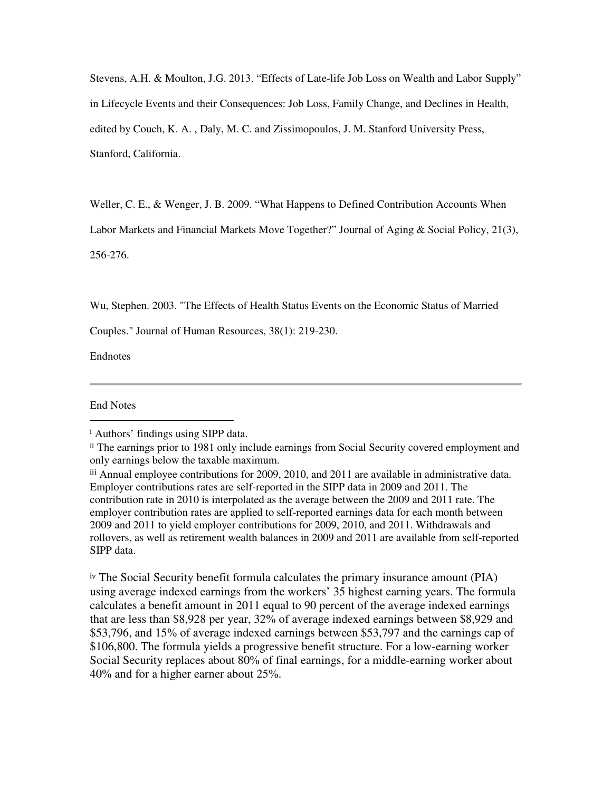Stevens, A.H. & Moulton, J.G. 2013. "Effects of Late-life Job Loss on Wealth and Labor Supply" in Lifecycle Events and their Consequences: Job Loss, Family Change, and Declines in Health, edited by Couch, K. A. , Daly, M. C. and Zissimopoulos, J. M. Stanford University Press, Stanford, California.

Weller, C. E., & Wenger, J. B. 2009. "What Happens to Defined Contribution Accounts When

Labor Markets and Financial Markets Move Together?" Journal of Aging & Social Policy, 21(3),

256-276.

Wu, Stephen. 2003. "The Effects of Health Status Events on the Economic Status of Married

Couples." Journal of Human Resources, 38(1): 219-230.

Endnotes

End Notes

 $\overline{a}$ 

iv The Social Security benefit formula calculates the primary insurance amount (PIA) using average indexed earnings from the workers' 35 highest earning years. The formula calculates a benefit amount in 2011 equal to 90 percent of the average indexed earnings that are less than \$8,928 per year, 32% of average indexed earnings between \$8,929 and \$53,796, and 15% of average indexed earnings between \$53,797 and the earnings cap of \$106,800. The formula yields a progressive benefit structure. For a low-earning worker Social Security replaces about 80% of final earnings, for a middle-earning worker about 40% and for a higher earner about 25%.

<sup>i</sup> Authors' findings using SIPP data.

ii The earnings prior to 1981 only include earnings from Social Security covered employment and only earnings below the taxable maximum.

iii Annual employee contributions for 2009, 2010, and 2011 are available in administrative data. Employer contributions rates are self-reported in the SIPP data in 2009 and 2011. The contribution rate in 2010 is interpolated as the average between the 2009 and 2011 rate. The employer contribution rates are applied to self-reported earnings data for each month between 2009 and 2011 to yield employer contributions for 2009, 2010, and 2011. Withdrawals and rollovers, as well as retirement wealth balances in 2009 and 2011 are available from self-reported SIPP data.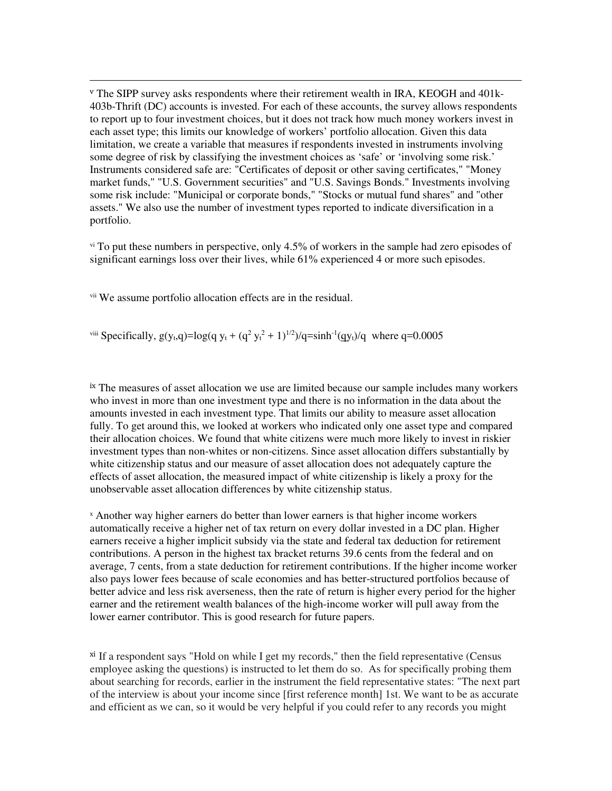<sup>v</sup> The SIPP survey asks respondents where their retirement wealth in IRA, KEOGH and 401k-403b-Thrift (DC) accounts is invested. For each of these accounts, the survey allows respondents to report up to four investment choices, but it does not track how much money workers invest in each asset type; this limits our knowledge of workers' portfolio allocation. Given this data limitation, we create a variable that measures if respondents invested in instruments involving some degree of risk by classifying the investment choices as 'safe' or 'involving some risk.' Instruments considered safe are: "Certificates of deposit or other saving certificates," "Money market funds," "U.S. Government securities" and "U.S. Savings Bonds." Investments involving some risk include: "Municipal or corporate bonds," "Stocks or mutual fund shares" and "other assets." We also use the number of investment types reported to indicate diversification in a portfolio.

v<sup>i</sup> To put these numbers in perspective, only 4.5% of workers in the sample had zero episodes of significant earnings loss over their lives, while 61% experienced 4 or more such episodes.

vii We assume portfolio allocation effects are in the residual.

 $\overline{a}$ 

<sup>viii</sup> Specifically,  $g(y_t,q)=log(q y_t + (q^2 y_t^2 + 1)^{1/2})/q = sinh^{-1}(q y_t)/q$  where  $q=0.0005$ 

ix The measures of asset allocation we use are limited because our sample includes many workers who invest in more than one investment type and there is no information in the data about the amounts invested in each investment type. That limits our ability to measure asset allocation fully. To get around this, we looked at workers who indicated only one asset type and compared their allocation choices. We found that white citizens were much more likely to invest in riskier investment types than non-whites or non-citizens. Since asset allocation differs substantially by white citizenship status and our measure of asset allocation does not adequately capture the effects of asset allocation, the measured impact of white citizenship is likely a proxy for the unobservable asset allocation differences by white citizenship status.

 $x$  Another way higher earners do better than lower earners is that higher income workers automatically receive a higher net of tax return on every dollar invested in a DC plan. Higher earners receive a higher implicit subsidy via the state and federal tax deduction for retirement contributions. A person in the highest tax bracket returns 39.6 cents from the federal and on average, 7 cents, from a state deduction for retirement contributions. If the higher income worker also pays lower fees because of scale economies and has better-structured portfolios because of better advice and less risk averseness, then the rate of return is higher every period for the higher earner and the retirement wealth balances of the high-income worker will pull away from the lower earner contributor. This is good research for future papers.

xi If a respondent says "Hold on while I get my records," then the field representative (Census employee asking the questions) is instructed to let them do so. As for specifically probing them about searching for records, earlier in the instrument the field representative states: "The next part of the interview is about your income since [first reference month] 1st. We want to be as accurate and efficient as we can, so it would be very helpful if you could refer to any records you might